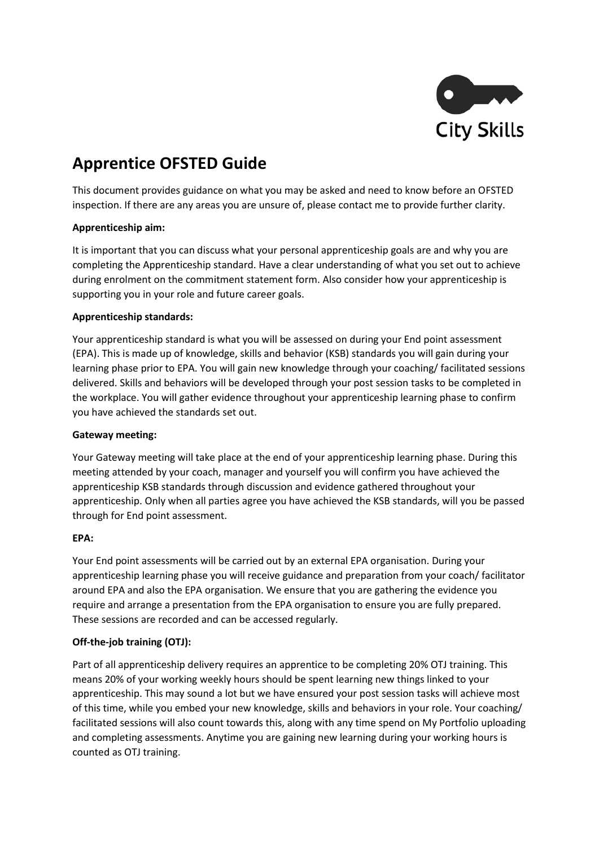

# **Apprentice OFSTED Guide**

This document provides guidance on what you may be asked and need to know before an OFSTED inspection. If there are any areas you are unsure of, please contact me to provide further clarity.

# **Apprenticeship aim:**

It is important that you can discuss what your personal apprenticeship goals are and why you are completing the Apprenticeship standard. Have a clear understanding of what you set out to achieve during enrolment on the commitment statement form. Also consider how your apprenticeship is supporting you in your role and future career goals.

# **Apprenticeship standards:**

Your apprenticeship standard is what you will be assessed on during your End point assessment (EPA). This is made up of knowledge, skills and behavior (KSB) standards you will gain during your learning phase prior to EPA. You will gain new knowledge through your coaching/ facilitated sessions delivered. Skills and behaviors will be developed through your post session tasks to be completed in the workplace. You will gather evidence throughout your apprenticeship learning phase to confirm you have achieved the standards set out.

## **Gateway meeting:**

Your Gateway meeting will take place at the end of your apprenticeship learning phase. During this meeting attended by your coach, manager and yourself you will confirm you have achieved the apprenticeship KSB standards through discussion and evidence gathered throughout your apprenticeship. Only when all parties agree you have achieved the KSB standards, will you be passed through for End point assessment.

## **EPA:**

Your End point assessments will be carried out by an external EPA organisation. During your apprenticeship learning phase you will receive guidance and preparation from your coach/ facilitator around EPA and also the EPA organisation. We ensure that you are gathering the evidence you require and arrange a presentation from the EPA organisation to ensure you are fully prepared. These sessions are recorded and can be accessed regularly.

# **Off-the-job training (OTJ):**

Part of all apprenticeship delivery requires an apprentice to be completing 20% OTJ training. This means 20% of your working weekly hours should be spent learning new things linked to your apprenticeship. This may sound a lot but we have ensured your post session tasks will achieve most of this time, while you embed your new knowledge, skills and behaviors in your role. Your coaching/ facilitated sessions will also count towards this, along with any time spend on My Portfolio uploading and completing assessments. Anytime you are gaining new learning during your working hours is counted as OTJ training.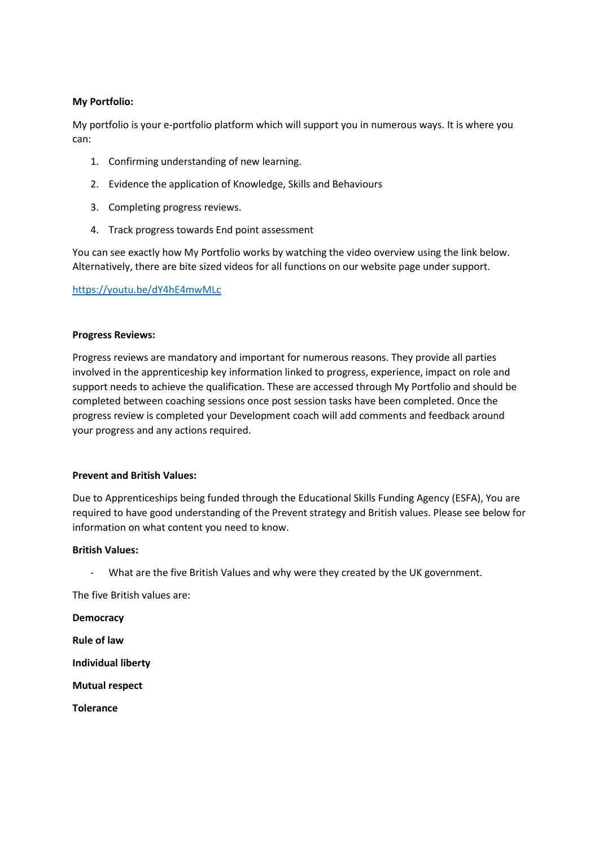# **My Portfolio:**

My portfolio is your e-portfolio platform which will support you in numerous ways. It is where you can:

- 1. Confirming understanding of new learning.
- 2. Evidence the application of Knowledge, Skills and Behaviours
- 3. Completing progress reviews.
- 4. Track progress towards End point assessment

You can see exactly how My Portfolio works by watching the video overview using the link below. Alternatively, there are bite sized videos for all functions on our website page under support.

## <https://youtu.be/dY4hE4mwMLc>

#### **Progress Reviews:**

Progress reviews are mandatory and important for numerous reasons. They provide all parties involved in the apprenticeship key information linked to progress, experience, impact on role and support needs to achieve the qualification. These are accessed through My Portfolio and should be completed between coaching sessions once post session tasks have been completed. Once the progress review is completed your Development coach will add comments and feedback around your progress and any actions required.

## **Prevent and British Values:**

Due to Apprenticeships being funded through the Educational Skills Funding Agency (ESFA), You are required to have good understanding of the Prevent strategy and British values. Please see below for information on what content you need to know.

#### **British Values:**

- What are the five British Values and why were they created by the UK government.

The five British values are:

**Democracy**

**Rule of law**

**Individual liberty**

**Mutual respect**

**Tolerance**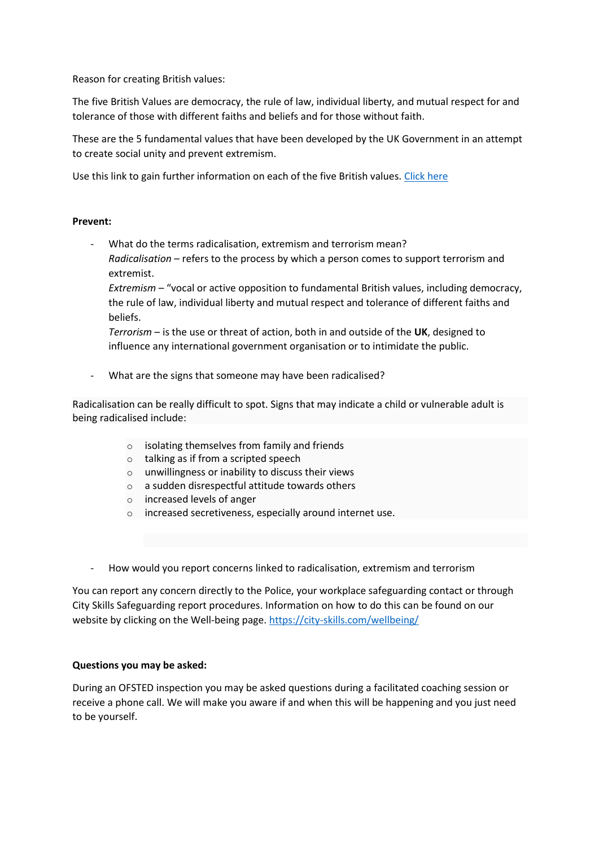Reason for creating British values:

The five British Values are democracy, the rule of law, individual liberty, and mutual respect for and tolerance of those with different faiths and beliefs and for those without faith.

These are the 5 fundamental values that have been developed by the UK Government in an attempt to create social unity and prevent extremism.

Use this link to gain further information on each of the five British values. [Click here](https://cantcolsu.com/blog/british-values-what-are-they-and-why-are-they-important)

## **Prevent:**

What do the terms radicalisation, extremism and terrorism mean? *Radicalisation* – refers to the process by which a person comes to support terrorism and extremist.

*Extremism* – "vocal or active opposition to fundamental British values, including democracy, the rule of law, individual liberty and mutual respect and tolerance of different faiths and beliefs.

*Terrorism* – is the use or threat of action, both in and outside of the **UK**, designed to influence any international government organisation or to intimidate the public.

What are the signs that someone may have been radicalised?

Radicalisation can be really difficult to spot. Signs that may indicate a child or vulnerable adult is being radicalised include:

- $\circ$  isolating themselves from family and friends
- o talking as if from a scripted speech
- o unwillingness or inability to discuss their views
- o a sudden disrespectful attitude towards others
- o increased levels of anger
- o increased secretiveness, especially around internet use.
- How would you report concerns linked to radicalisation, extremism and terrorism

You can report any concern directly to the Police, your workplace safeguarding contact or through City Skills Safeguarding report procedures. Information on how to do this can be found on our website by clicking on the Well-being page. <https://city-skills.com/wellbeing/>

## **Questions you may be asked:**

During an OFSTED inspection you may be asked questions during a facilitated coaching session or receive a phone call. We will make you aware if and when this will be happening and you just need to be yourself.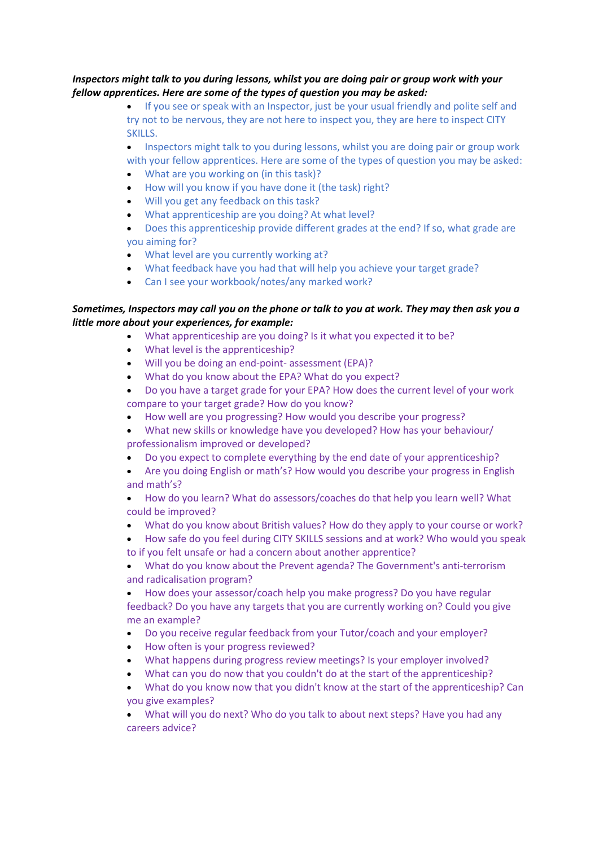# *Inspectors might talk to you during lessons, whilst you are doing pair or group work with your fellow apprentices. Here are some of the types of question you may be asked:*

• If you see or speak with an Inspector, just be your usual friendly and polite self and try not to be nervous, they are not here to inspect you, they are here to inspect CITY SKILLS.

• Inspectors might talk to you during lessons, whilst you are doing pair or group work with your fellow apprentices. Here are some of the types of question you may be asked:

- What are you working on (in this task)?
- How will you know if you have done it (the task) right?
- Will you get any feedback on this task?
- What apprenticeship are you doing? At what level?

• Does this apprenticeship provide different grades at the end? If so, what grade are you aiming for?

- What level are you currently working at?
- What feedback have you had that will help you achieve your target grade?
- Can I see your workbook/notes/any marked work?

# *Sometimes, Inspectors may call you on the phone or talk to you at work. They may then ask you a little more about your experiences, for example:*

- What apprenticeship are you doing? Is it what you expected it to be?
- What level is the apprenticeship?
- Will you be doing an end-point- assessment (EPA)?
- What do you know about the EPA? What do you expect?
- Do you have a target grade for your EPA? How does the current level of your work compare to your target grade? How do you know?
- How well are you progressing? How would you describe your progress?
- What new skills or knowledge have you developed? How has your behaviour/ professionalism improved or developed?
- Do you expect to complete everything by the end date of your apprenticeship?
- Are you doing English or math's? How would you describe your progress in English and math's?
- How do you learn? What do assessors/coaches do that help you learn well? What could be improved?
- What do you know about British values? How do they apply to your course or work?
- How safe do you feel during CITY SKILLS sessions and at work? Who would you speak to if you felt unsafe or had a concern about another apprentice?
- What do you know about the Prevent agenda? The Government's anti-terrorism and radicalisation program?

• How does your assessor/coach help you make progress? Do you have regular feedback? Do you have any targets that you are currently working on? Could you give me an example?

- Do you receive regular feedback from your Tutor/coach and your employer?
- How often is your progress reviewed?
- What happens during progress review meetings? Is your employer involved?
- What can you do now that you couldn't do at the start of the apprenticeship?
- What do you know now that you didn't know at the start of the apprenticeship? Can you give examples?

• What will you do next? Who do you talk to about next steps? Have you had any careers advice?